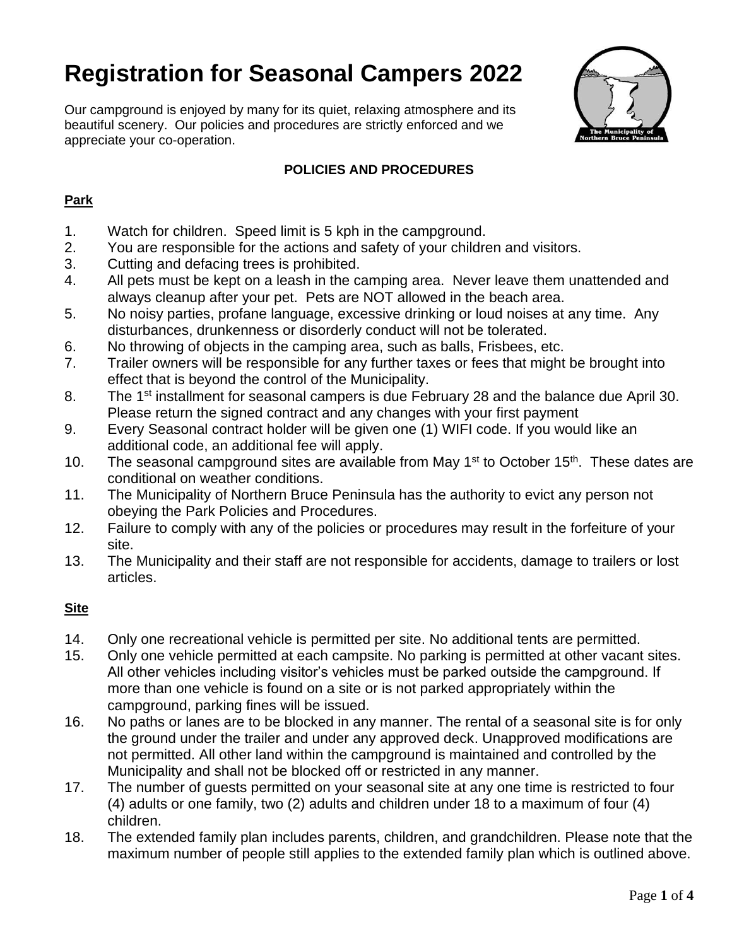# **Registration for Seasonal Campers 2022**

Our campground is enjoyed by many for its quiet, relaxing atmosphere and its beautiful scenery. Our policies and procedures are strictly enforced and we appreciate your co-operation.



## **POLICIES AND PROCEDURES**

## **Park**

- 1. Watch for children. Speed limit is 5 kph in the campground.
- 2. You are responsible for the actions and safety of your children and visitors.
- 3. Cutting and defacing trees is prohibited.
- 4. All pets must be kept on a leash in the camping area. Never leave them unattended and always cleanup after your pet. Pets are NOT allowed in the beach area.
- 5. No noisy parties, profane language, excessive drinking or loud noises at any time. Any disturbances, drunkenness or disorderly conduct will not be tolerated.
- 6. No throwing of objects in the camping area, such as balls, Frisbees, etc.
- 7. Trailer owners will be responsible for any further taxes or fees that might be brought into effect that is beyond the control of the Municipality.
- 8. The 1<sup>st</sup> installment for seasonal campers is due February 28 and the balance due April 30. Please return the signed contract and any changes with your first payment
- 9. Every Seasonal contract holder will be given one (1) WIFI code. If you would like an additional code, an additional fee will apply.
- 10. The seasonal campground sites are available from May  $1<sup>st</sup>$  to October 15<sup>th</sup>. These dates are conditional on weather conditions.
- 11. The Municipality of Northern Bruce Peninsula has the authority to evict any person not obeying the Park Policies and Procedures.
- 12. Failure to comply with any of the policies or procedures may result in the forfeiture of your site.
- 13. The Municipality and their staff are not responsible for accidents, damage to trailers or lost articles.

## **Site**

- 14. Only one recreational vehicle is permitted per site. No additional tents are permitted.
- 15. Only one vehicle permitted at each campsite. No parking is permitted at other vacant sites. All other vehicles including visitor's vehicles must be parked outside the campground. If more than one vehicle is found on a site or is not parked appropriately within the campground, parking fines will be issued.
- 16. No paths or lanes are to be blocked in any manner. The rental of a seasonal site is for only the ground under the trailer and under any approved deck. Unapproved modifications are not permitted. All other land within the campground is maintained and controlled by the Municipality and shall not be blocked off or restricted in any manner.
- 17. The number of guests permitted on your seasonal site at any one time is restricted to four (4) adults or one family, two (2) adults and children under 18 to a maximum of four (4) children.
- 18. The extended family plan includes parents, children, and grandchildren. Please note that the maximum number of people still applies to the extended family plan which is outlined above.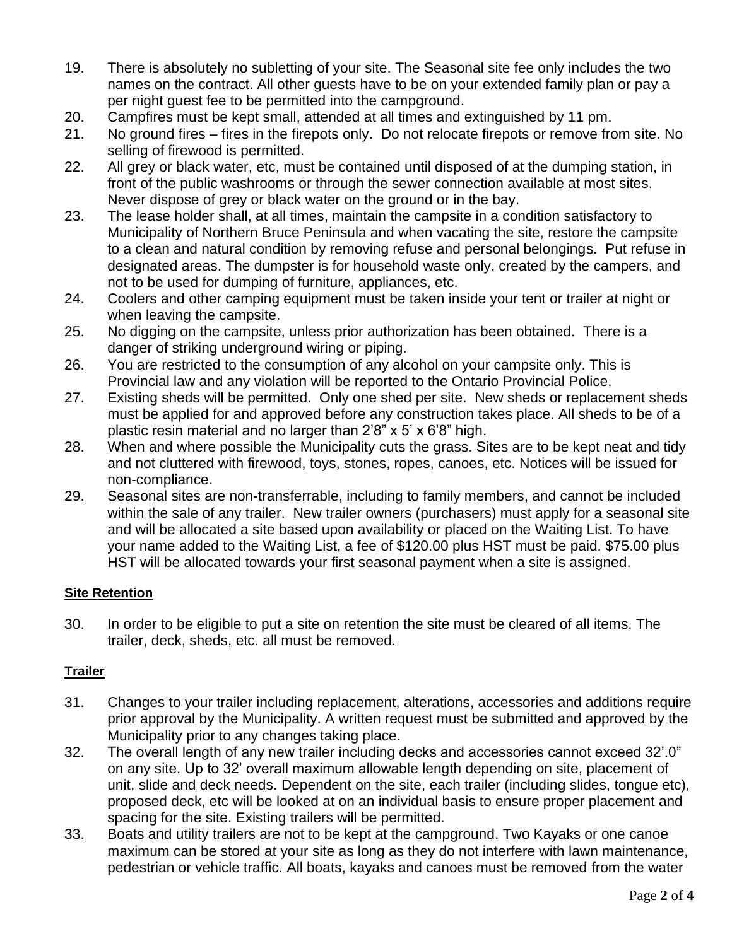- 19. There is absolutely no subletting of your site. The Seasonal site fee only includes the two names on the contract. All other guests have to be on your extended family plan or pay a per night guest fee to be permitted into the campground.
- 20. Campfires must be kept small, attended at all times and extinguished by 11 pm.
- 21. No ground fires fires in the firepots only. Do not relocate firepots or remove from site. No selling of firewood is permitted.
- 22. All grey or black water, etc, must be contained until disposed of at the dumping station, in front of the public washrooms or through the sewer connection available at most sites. Never dispose of grey or black water on the ground or in the bay.
- 23. The lease holder shall, at all times, maintain the campsite in a condition satisfactory to Municipality of Northern Bruce Peninsula and when vacating the site, restore the campsite to a clean and natural condition by removing refuse and personal belongings. Put refuse in designated areas. The dumpster is for household waste only, created by the campers, and not to be used for dumping of furniture, appliances, etc.
- 24. Coolers and other camping equipment must be taken inside your tent or trailer at night or when leaving the campsite.
- 25. No digging on the campsite, unless prior authorization has been obtained. There is a danger of striking underground wiring or piping.
- 26. You are restricted to the consumption of any alcohol on your campsite only. This is Provincial law and any violation will be reported to the Ontario Provincial Police.
- 27. Existing sheds will be permitted. Only one shed per site. New sheds or replacement sheds must be applied for and approved before any construction takes place. All sheds to be of a plastic resin material and no larger than 2'8" x 5' x 6'8" high.
- 28. When and where possible the Municipality cuts the grass. Sites are to be kept neat and tidy and not cluttered with firewood, toys, stones, ropes, canoes, etc. Notices will be issued for non-compliance.
- 29. Seasonal sites are non-transferrable, including to family members, and cannot be included within the sale of any trailer. New trailer owners (purchasers) must apply for a seasonal site and will be allocated a site based upon availability or placed on the Waiting List. To have your name added to the Waiting List, a fee of \$120.00 plus HST must be paid. \$75.00 plus HST will be allocated towards your first seasonal payment when a site is assigned.

### **Site Retention**

30. In order to be eligible to put a site on retention the site must be cleared of all items. The trailer, deck, sheds, etc. all must be removed.

## **Trailer**

- 31. Changes to your trailer including replacement, alterations, accessories and additions require prior approval by the Municipality. A written request must be submitted and approved by the Municipality prior to any changes taking place.
- 32. The overall length of any new trailer including decks and accessories cannot exceed 32'.0" on any site. Up to 32' overall maximum allowable length depending on site, placement of unit, slide and deck needs. Dependent on the site, each trailer (including slides, tongue etc), proposed deck, etc will be looked at on an individual basis to ensure proper placement and spacing for the site. Existing trailers will be permitted.
- 33. Boats and utility trailers are not to be kept at the campground. Two Kayaks or one canoe maximum can be stored at your site as long as they do not interfere with lawn maintenance, pedestrian or vehicle traffic. All boats, kayaks and canoes must be removed from the water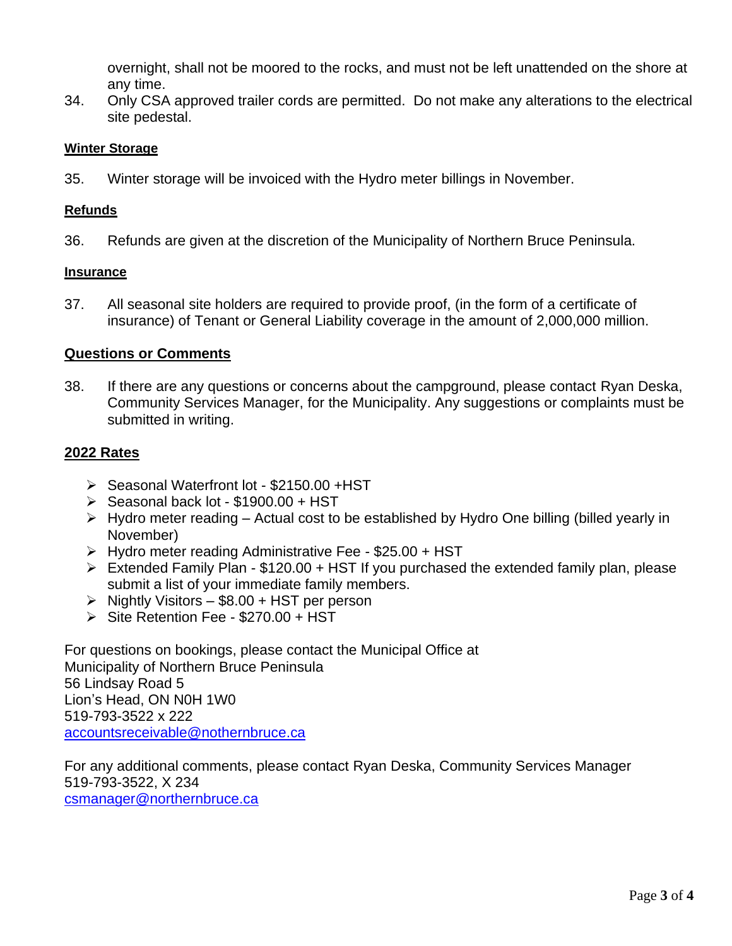overnight, shall not be moored to the rocks, and must not be left unattended on the shore at any time.

34. Only CSA approved trailer cords are permitted. Do not make any alterations to the electrical site pedestal.

#### **Winter Storage**

35. Winter storage will be invoiced with the Hydro meter billings in November.

#### **Refunds**

36. Refunds are given at the discretion of the Municipality of Northern Bruce Peninsula.

#### **Insurance**

37. All seasonal site holders are required to provide proof, (in the form of a certificate of insurance) of Tenant or General Liability coverage in the amount of 2,000,000 million.

#### **Questions or Comments**

38. If there are any questions or concerns about the campground, please contact Ryan Deska, Community Services Manager, for the Municipality. Any suggestions or complaints must be submitted in writing.

#### **2022 Rates**

- ➢ Seasonal Waterfront lot \$2150.00 +HST
- ➢ Seasonal back lot \$1900.00 + HST
- ➢ Hydro meter reading Actual cost to be established by Hydro One billing (billed yearly in November)
- ➢ Hydro meter reading Administrative Fee \$25.00 + HST
- ➢ Extended Family Plan \$120.00 + HST If you purchased the extended family plan, please submit a list of your immediate family members.
- $\triangleright$  Nightly Visitors \$8.00 + HST per person
- ➢ Site Retention Fee \$270.00 + HST

For questions on bookings, please contact the Municipal Office at Municipality of Northern Bruce Peninsula 56 Lindsay Road 5 Lion's Head, ON N0H 1W0 519-793-3522 x 222 [accountsreceivable@nothernbruce.ca](mailto:accountsreceivable@nothernbruce.ca)

For any additional comments, please contact Ryan Deska, Community Services Manager 519-793-3522, X 234 [csmanager@northernbruce.ca](mailto:csmanager@northernbruce.ca)